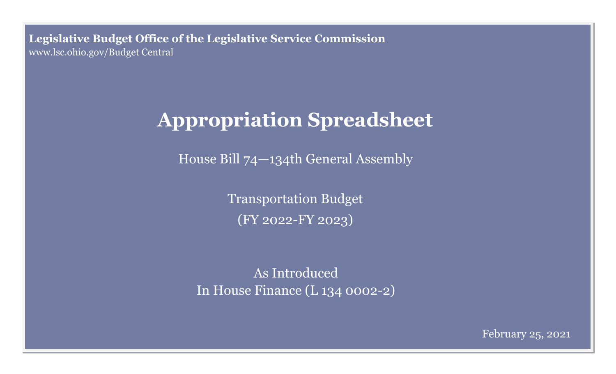**Legislative Budget Office of the Legislative Service Commission**  [www.lsc.ohio.gov/Budget Central](http://www.lsc.ohio.gov)

## **Appropriation Spreadsheet**

House Bill 74—134th General Assembly

Transportation Budget (FY 2022-FY 2023)

As Introduced In House Finance (L 134 0002-2)

February 25, 2021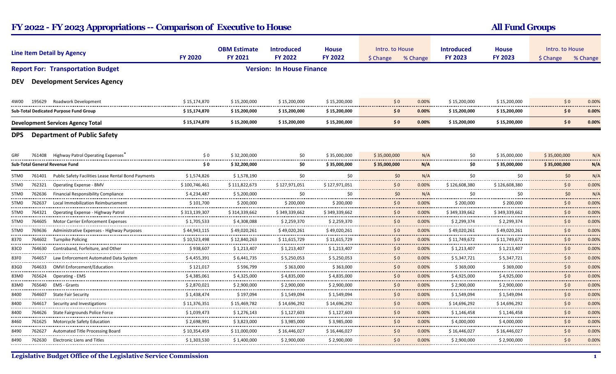## FY 2022 - FY 2023 Appropriations -- Comparison of Executive to House All Fund Groups All Fund Groups

| <b>Line Item Detail by Agency</b>        |        |                                                            | <b>FY 2020</b>               | <b>OBM Estimate</b><br><b>FY 2021</b> | <b>Introduced</b><br><b>FY 2022</b> | <b>House</b><br><b>FY 2022</b>   | Intro. to House<br>\$ Change | % Change   | <b>Introduced</b><br><b>FY 2023</b> | <b>House</b><br><b>FY 2023</b>                          | Intro. to House<br>\$ Change               | % Change         |
|------------------------------------------|--------|------------------------------------------------------------|------------------------------|---------------------------------------|-------------------------------------|----------------------------------|------------------------------|------------|-------------------------------------|---------------------------------------------------------|--------------------------------------------|------------------|
|                                          |        | <b>Report For: Transportation Budget</b>                   |                              |                                       | <b>Version: In House Finance</b>    |                                  |                              |            |                                     |                                                         |                                            |                  |
| <b>DEV</b>                               |        | <b>Development Services Agency</b>                         |                              |                                       |                                     |                                  |                              |            |                                     |                                                         |                                            |                  |
| 4W00                                     | 195629 | <b>Roadwork Development</b>                                | \$15,174,870                 | \$15,200,000                          | \$15,200,000                        | \$15,200,000                     | \$0                          | 0.00%      | \$15,200,000                        | \$15,200,000                                            | \$0                                        | 0.00%            |
|                                          |        | Sub-Total Dedicated Purpose Fund Group                     | \$15,174,870                 | \$15,200,000                          | \$15,200,000                        | \$15,200,000                     | $\mathsf{S} \, \mathsf{O}$   | 0.00%      | \$15,200,000                        | \$15,200,000                                            | \$0                                        | 0.00%            |
| <b>Development Services Agency Total</b> |        |                                                            | \$15,174,870                 | \$15,200,000                          | \$15,200,000                        | \$15,200,000                     | \$0                          | 0.00%      | \$15,200,000                        | \$15,200,000                                            | \$0                                        | 0.00%            |
| <b>DPS</b>                               |        | <b>Department of Public Safety</b>                         |                              |                                       |                                     |                                  |                              |            |                                     |                                                         |                                            |                  |
| GRF                                      | 761408 | "Highway Patrol Operating Expenses                         | \$0                          | \$32.200.000                          | \$0                                 | \$35,000,000                     | \$35,000,000                 | N/A        | \$0                                 | \$35,000,000                                            | \$35,000,000                               | N/A              |
| <b>Sub-Total General Revenue Fund</b>    |        | \$0                                                        | \$32,200,000                 | \$0                                   | \$35,000,000                        | \$35,000,000                     | N/A                          | \$0        | \$35,000,000                        | \$35,000,000                                            | N/A                                        |                  |
| 5TM <sub>0</sub>                         | 761401 | <b>Public Safety Facilities Lease Rental Bond Payments</b> | \$1,574,826                  | \$1,578,190                           | \$0                                 | \$0                              | \$0                          | N/A        | \$0                                 | \$0                                                     | \$0                                        | N/A              |
| 5TM0                                     |        | 762321 Operating Expense - BMV                             | \$100,746,461                | \$111,822,673                         | \$127.971.051<br>.                  | \$127,971,051                    | 50                           | 0.00%<br>. | \$126,608,380<br>. <b>.</b> .       | \$126,608,380                                           | \$0<br>                                    | 0.00%<br>.       |
| 5TM <sub>0</sub>                         | 762636 | <b>Financial Responsibility Compliance</b>                 | \$4,234,487<br>. <b>.</b> .  | \$5,200,000<br>.                      | \$0<br>                             | \$0                              | \$0<br>.                     | N/A<br>.   | \$0<br>-------------                | \$0                                                     | \$0<br>.                                   | N/A<br>.         |
| 5TM <sub>0</sub>                         | 762637 | Local Immobilization Reimbursement                         | \$101.700<br>                | \$200.000<br>                         | \$200,000                           | \$200.000<br>                    | 50<br>.                      | 0.00%<br>. | \$200.000<br>                       | \$200.000<br>-------------------                        | \$0<br>.                                   | 0.00%<br>.       |
| 5TM0                                     |        | 764321 Operating Expense - Highway Patrol                  | \$313,139,307<br>            | \$314,339,662<br>                     | \$349,339,662<br>                   | \$349,339,662                    | 50                           | 0.00%      | \$349,339,662                       | \$349,339,662                                           | \$0<br>------                              | 0.00%<br>        |
| 5TM0<br>---------                        | 764605 | <b>Motor Carrier Enforcement Expenses</b>                  | \$1,705,533<br>.             | \$4,308,088<br>                       | \$2,259,370<br>                     | \$2,259,370<br>                  | 50<br>.                      | 0.00%<br>. | \$2,299,374<br>.                    | \$2,299,374<br>-----------------                        | \$0<br>.                                   | 0.00%<br><b></b> |
| 5TM0                                     |        | 769636 Administrative Expenses - Highway Purposes          | \$44.943.115<br>             | \$49,020,261<br>.                     | \$49,020,261<br>.                   | \$49.020.261                     | 50<br>.                      | 0.00%<br>. | \$49,020,261<br>----------------    | \$49.020.261                                            | \$0<br>.                                   | 0.00%<br>.       |
| 8370                                     |        | 764602 Turnpike Policing                                   | \$10.523.498<br>. <b>.</b> . | \$12,840.263<br>.                     | \$11,615,729<br>.                   | \$11.615.729<br>---------------  | 50                           | 0.00%<br>. | \$11,749.672<br>---------------     | \$11,749.672<br>---------------                         | \$0<br>.                                   | 0.00%<br>.       |
| 83C0<br>                                 | 764630 | Contraband, Forfeiture, and Other                          | \$938,607<br>                | \$1,213,407                           | \$1,213,407                         | \$1,213,407                      | 50<br>---------              | 0.00%<br>. | \$1,213,407                         | \$1,213,407                                             | \$0<br>.                                   | 0.00%<br>.       |
| 83F0                                     | 764657 | Law Enforcement Automated Data System                      | \$4,455,391                  | \$6,441,735                           | \$5,250,053                         | \$5,250,053                      | 50<br>.                      | 0.00%      | \$5,347,721                         | \$5,347,721<br>---------------------- <mark>----</mark> | \$0<br>                                    | 0.00%<br>.       |
| 83G0<br>.                                | 764633 | <b>OMVI Enforcement/Education</b>                          | \$121,017<br>                | \$596,799<br>                         | \$363,000<br>.                      | \$363,000<br>                    | \$0<br>.                     | 0.00%<br>. | \$369,000<br>.                      | \$369,000                                               | \$0<br>.                                   | 0.00%<br>.       |
| 83M0                                     | 765624 | <b>Operating - EMS</b>                                     | \$4.385.061<br>. <b>.</b> .  | \$4.325.000                           | \$4.835.000<br>.                    | \$4.835.000                      | 50                           | 0.00%      | \$4.925.000<br>-------------------  | \$4.925.000<br>----------------                         | \$0<br>.                                   | 0.00%<br>.       |
| 83M0                                     | 765640 | <b>EMS - Grants</b>                                        | \$2,870,021                  | \$2,900,000                           | \$2,900,000                         | \$2,900,000                      | 50                           | 0.00%      | \$2,900,000                         | \$2,900,000                                             | \$0                                        | 0.00%<br>        |
| 8400                                     |        | 764607 State Fair Security                                 | \$1,438,474<br>.             | \$197,094<br>.                        | \$1,549,094<br>.                    | \$1,549,094                      | 50<br>---------              | 0.00%<br>. | \$1,549,094<br>                     | \$1,549,094<br>                                         | \$0<br>.                                   | 0.00%<br>        |
| <br>8400                                 | 764617 | Security and Investigations                                | \$11,376,351                 | \$15,469,782                          | \$14,696,292                        | \$14,696,292<br>---------------- | \$0<br>                      | 0.00%<br>. | \$14,696,292<br>----------------    | \$14,696,292<br>.                                       | \$0                                        | 0.00%<br>.       |
| <br>8400                                 | 764626 | State Fairgrounds Police Force                             | \$1,039,473<br>.             | .<br>\$1.276.143<br>----------------  | .<br>\$1,127,603<br>                | \$1.127.603<br>                  | \$0<br>.                     | 0.00%<br>. | \$1,146,458<br>.                    | \$1.146.458<br>.                                        | .<br>\$0<br><b><i><u>ARCHITECT</u></i></b> | 0.00%<br>.       |
| 8460<br>.                                | 761625 | Motorcycle Safety Education                                | \$2,698,991<br>.             | \$3,823,000<br>                       | \$3,985,000<br>.                    | \$3,985,000                      | \$0<br>.                     | 0.00%<br>. | \$4,000,000<br>                     | \$4,000,000                                             | \$0<br>.                                   | 0.00%<br>.       |
| 8490<br>                                 | 762627 | Automated Title Processing Board                           | \$10,354,459                 | \$11,000,000                          | \$16,446,027                        | \$16.446.027                     | 50<br>---------------        | 0.00%<br>. | \$16,446,027<br>                    | \$16,446,027<br>------------------                      | \$0<br>.                                   | 0.00%<br>.       |
| 8490                                     | 762630 | <b>Electronic Liens and Titles</b>                         | \$1,303,530                  | \$1,400,000                           | \$2,900,000                         | \$2,900,000                      | \$0                          | 0.00%      | \$2,900,000                         | \$2,900,000                                             | \$0                                        | 0.00%            |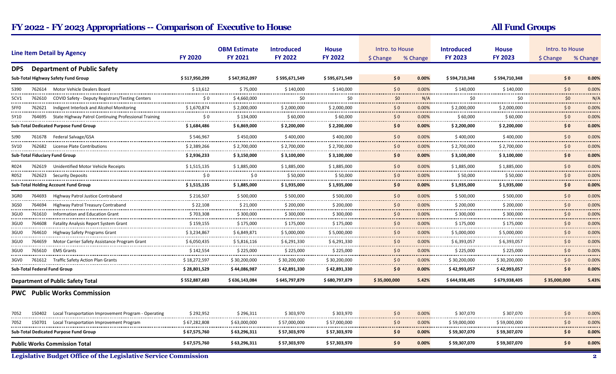## FY 2022 - FY 2023 Appropriations -- Comparison of Executive to House All Fund Groups All Fund Groups

|                                                           | <b>Line Item Detail by Agency</b>                                      | <b>FY 2020</b>                          | <b>OBM Estimate</b><br><b>FY 2021</b> | <b>Introduced</b><br><b>FY 2022</b> | <b>House</b><br><b>FY 2022</b>   | Intro. to House<br>\$ Change<br>% Change |                                 | <b>Introduced</b><br><b>FY 2023</b> | <b>House</b><br><b>FY 2023</b> | Intro. to House<br>\$ Change<br>% Change |                                        |
|-----------------------------------------------------------|------------------------------------------------------------------------|-----------------------------------------|---------------------------------------|-------------------------------------|----------------------------------|------------------------------------------|---------------------------------|-------------------------------------|--------------------------------|------------------------------------------|----------------------------------------|
| <b>DPS</b>                                                | <b>Department of Public Safety</b>                                     |                                         |                                       |                                     |                                  |                                          |                                 |                                     |                                |                                          |                                        |
|                                                           | Sub-Total Highway Safety Fund Group                                    | \$517,950,299                           | \$547,952,097                         | \$595,671,549                       | \$595,671,549                    | $\mathsf{S} \, \mathsf{O}$               | 0.00%                           | \$594,710,348                       | \$594,710,348                  | 50                                       | 0.00%                                  |
| 5390                                                      | 762614 Motor Vehicle Dealers Board                                     | \$13,612                                | \$75,000                              | \$140,000                           | \$140,000                        | \$0                                      | 0.00%                           | \$140,000                           | \$140,000                      | \$0                                      | 0.00%                                  |
| 5CV1                                                      | 762610 COVID Safety - Deputy Registrars/Testing Centers                | --------------------------------<br>\$0 | \$4,660,000                           | <br>\$0                             | --------------<br>\$0            | <br>\$0                                  | N/A                             | \$0                                 | -------------------<br>\$0     | .<br>\$0                                 | .<br>N/A                               |
| 5FF0<br>                                                  | 762621 Indigent Interlock and Alcohol Monitoring                       | \$1,670,874                             | \$2,000,000<br>.                      | \$2,000,000<br>-----------------    | \$2,000,000<br>----------------- | 50<br>.                                  | 0.00%<br>.                      | \$2,000,000<br>---------------      | \$2,000,000<br>                | \$0<br>.                                 | 0.00%<br><b><i><u>ALCOHOL:</u></i></b> |
| 5Y10                                                      | 764695 State Highway Patrol Continuing Professional Training           | \$0                                     | \$134,000<br>                         | \$60,000<br>.                       | \$60,000<br>                     | \$0<br>--------                          | 0.00%<br>.                      | \$60,000<br>-------------           | \$60,000<br>                   | \$0<br>.                                 | 0.00%<br>.                             |
|                                                           | Sub-Total Dedicated Purpose Fund Group                                 | \$1,684,486                             | \$6,869,000                           | \$2,200,000                         | \$2,200,000                      | \$0                                      | 0.00%                           | \$2,200,000                         | \$2,200,000                    | \$0                                      | 0.00%                                  |
| 5J90                                                      | 761678 Federal Salvage/GSA                                             | \$546,967                               | \$450,000                             | \$400,000                           | \$400,000                        | \$0                                      | 0.00%                           | \$400,000                           | \$400,000                      | \$0                                      | 0.00%                                  |
| 5V10                                                      | 762682<br>License Plate Contributions                                  | \$2,389,266                             | \$2.700.000                           | \$2,700,000                         | \$2,700,000                      | -------<br>$\mathsf{S} \, \mathsf{O}$    | 0.00%                           | \$2,700,000                         | \$2,700,000                    | .<br>50                                  | .<br>0.00%                             |
|                                                           | <b>Sub-Total Fiduciary Fund Group</b>                                  | \$2,936,233                             | .<br>\$3,150,000                      | .<br>\$3,100,000                    | --------------<br>\$3,100,000    | \$0                                      | . <i>. .</i><br>0.00%           | .<br>\$3,100,000                    | .<br>\$3,100,000               | .<br>\$0                                 | <b></b><br>0.00%                       |
| R024                                                      | 762619 Unidentified Motor Vehicle Receipts                             | \$1,515,135                             | \$1,885,000                           | \$1,885,000                         | \$1,885,000                      | \$0                                      | 0.00%                           | \$1,885,000                         | \$1,885,000                    | \$0                                      | 0.00%                                  |
| R052                                                      | 762623 Security Deposits                                               | \$0                                     | \$0                                   | \$50,000                            | \$50,000                         | \$0                                      | 0.00%                           | \$50,000                            | \$50,000                       | \$0                                      | 0.00%                                  |
| <b>Sub-Total Holding Account Fund Group</b>               |                                                                        | \$1,515,135                             | \$1,885,000                           | \$1,935,000                         | \$1,935,000                      | <br>$\mathsf{S} \, \mathsf{O}$           | 0.00%                           | \$1,935,000                         | \$1,935,000                    | <br>\$0                                  | .<br>0.00%                             |
| 3GR0                                                      | 764693<br>Highway Patrol Justice Contraband                            | \$216,507                               | \$500,000                             | \$500,000                           | \$500,000                        | \$0                                      | 0.00%                           | \$500,000                           | \$500,000                      | \$0                                      | 0.00%                                  |
| 3GS0                                                      | ----------------------<br>764694<br>Highway Patrol Treasury Contraband | .<br>\$22,108                           | \$21,000                              | .<br>\$200,000                      | \$200,000                        | <br>\$0                                  | . <b>.</b><br>0.00%             | <br>\$200,000                       | \$200,000                      | .<br>\$0                                 | .<br>0.00%                             |
| 3GU0                                                      | .<br>761610<br>Information and Education Grant                         | \$703,308                               | \$300,000                             | \$300,000                           | \$300,000                        | \$0                                      | 0.00%                           | \$300,000                           | \$300,000                      | \$0                                      | 0.00%                                  |
| <br>3GU0<br>--------                                      | 764608<br><b>Fatality Analysis Report System Grant</b>                 | .<br>\$159,155                          | -------------<br>\$175,000            | <b></b><br>\$175,000                | ------------<br>\$175,000        | -----------<br>\$0                       | <b>CONTRACTOR</b><br>0.00%<br>. | <br>\$175,000<br>                   | <br>\$175,000<br>              | \$0                                      | .<br>0.00%                             |
| 3GU0<br>.                                                 | 764610<br>Highway Safety Programs Grant                                | <br>\$3,234,867<br>.                    | .<br>\$6,849,871<br>                  | . <b>.</b> .<br>\$5,000,000<br>.    | .<br>\$5,000,000<br>.            | .<br>\$0<br>.                            | 0.00%<br>.                      | \$5,000,000<br>.                    | \$5,000,000<br>.               | \$0<br>.                                 | .<br>0.00%<br>.                        |
| 3GU0<br>                                                  | 764659<br>Motor Carrier Safety Assistance Program Grant                | \$6,050,435<br>----------------         | \$5,816,116<br>                       | \$6,291,330<br>                     | \$6,291,330                      | \$0<br>                                  | 0.00%                           | \$6,393,057<br>                     | \$6,393,057                    | \$0<br>.                                 | 0.00%<br>.                             |
| 3GU0<br>                                                  | 765610 EMS Grants                                                      | \$142,554                               | \$225,000                             | \$225,000                           | \$225,000                        | 50<br>.                                  | 0.00%<br>. <del>. .</del> .     | \$225,000<br>--------------------   | \$225,000                      | \$0<br>.                                 | 0.00%<br>.                             |
| 3GV0                                                      | 761612 Traffic Safety Action Plan Grants                               | \$18,272,597                            | \$30,200,000                          | \$30,200,000                        | \$30,200,000                     | 50<br>------                             | 0.00%                           | \$30,200,000                        | \$30.200.000                   | \$0<br>.                                 | 0.00%<br>.                             |
|                                                           | Sub-Total Federal Fund Group                                           | \$28,801,529                            | \$44,086,987                          | \$42,891,330                        | \$42,891,330                     | \$0                                      | 0.00%                           | \$42,993,057                        | \$42,993,057                   | \$0                                      | 0.00%                                  |
| \$552,887,683<br><b>Department of Public Safety Total</b> |                                                                        |                                         | \$636,143,084                         | \$645,797,879                       | \$680,797,879                    | \$35,000,000                             | 5.42%                           | \$644,938,405                       | \$679,938,405                  | \$35,000,000                             | 5.43%                                  |
|                                                           | <b>PWC</b> Public Works Commission                                     |                                         |                                       |                                     |                                  |                                          |                                 |                                     |                                |                                          |                                        |
| 7052                                                      | 150402<br>Local Transportation Improvement Program - Operating         | \$292,952                               | \$296,311                             | \$303,970                           | \$303,970                        | \$0                                      | 0.00%                           | \$307,070                           | \$307,070                      | \$0                                      | 0.00%                                  |
| 7052                                                      | 150701 Local Transportation Improvement Program                        | \$67,282,808                            | \$63,000,000<br>.                     | \$57,000,000                        | \$57,000,000                     | 50                                       | 0.00%                           | \$59,000,000                        | \$59,000,000                   | \$0<br>.                                 | 0.00%<br>.                             |
| Sub-Total Dedicated Purpose Fund Group                    |                                                                        | \$67,575,760                            | \$63,296,311                          | \$57,303,970                        | \$57,303,970                     | $\mathsf{S} \mathsf{O}$                  | $0.00\%$                        | \$59,307,070                        | \$59,307,070                   | \$0                                      | 0.00%                                  |
| <b>Public Works Commission Total</b>                      |                                                                        | \$67,575,760                            | \$63,296,311                          | \$57,303,970                        | \$57,303,970                     | \$0                                      | 0.00%                           | \$59,307,070                        | \$59,307,070                   | \$0                                      | 0.00%                                  |

Legislative Budget Office of the Legislative Service Commission 2